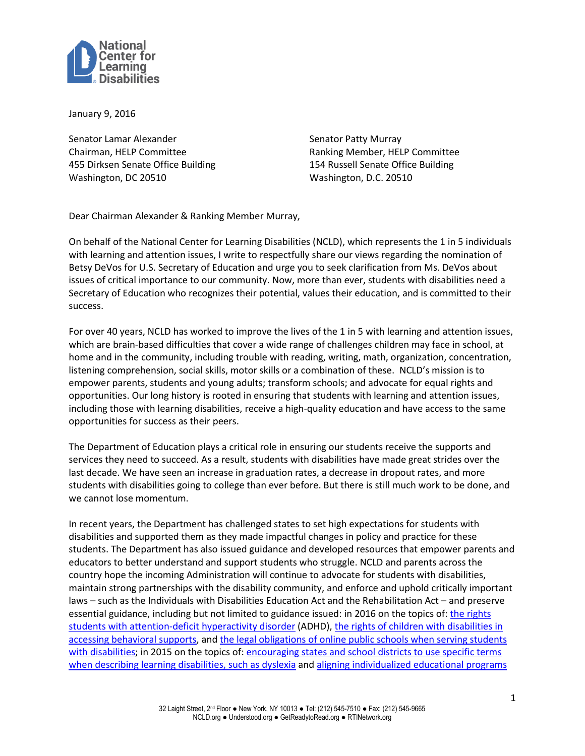

January 9, 2016

Senator Lamar Alexander Chairman, HELP Committee 455 Dirksen Senate Office Building Washington, DC 20510

Senator Patty Murray Ranking Member, HELP Committee 154 Russell Senate Office Building Washington, D.C. 20510

Dear Chairman Alexander & Ranking Member Murray,

On behalf of the National Center for Learning Disabilities (NCLD), which represents the 1 in 5 individuals with learning and attention issues, I write to respectfully share our views regarding the nomination of Betsy DeVos for U.S. Secretary of Education and urge you to seek clarification from Ms. DeVos about issues of critical importance to our community. Now, more than ever, students with disabilities need a Secretary of Education who recognizes their potential, values their education, and is committed to their success.

For over 40 years, NCLD has worked to improve the lives of the 1 in 5 with learning and attention issues, which are brain-based difficulties that cover a wide range of challenges children may face in school, at home and in the community, including trouble with reading, writing, math, organization, concentration, listening comprehension, social skills, motor skills or a combination of these. NCLD's mission is to empower parents, students and young adults; transform schools; and advocate for equal rights and opportunities. Our long history is rooted in ensuring that students with learning and attention issues, including those with learning disabilities, receive a high-quality education and have access to the same opportunities for success as their peers.

The Department of Education plays a critical role in ensuring our students receive the supports and services they need to succeed. As a result, students with disabilities have made great strides over the last decade. We have seen an increase in graduation rates, a decrease in dropout rates, and more students with disabilities going to college than ever before. But there is still much work to be done, and we cannot lose momentum.

In recent years, the Department has challenged states to set high expectations for students with disabilities and supported them as they made impactful changes in policy and practice for these students. The Department has also issued guidance and developed resources that empower parents and educators to better understand and support students who struggle. NCLD and parents across the country hope the incoming Administration will continue to advocate for students with disabilities, maintain strong partnerships with the disability community, and enforce and uphold critically important laws – such as the Individuals with Disabilities Education Act and the Rehabilitation Act – and preserve essential guidance, including but not limited to guidance issued: in 2016 on the topics of: the rights [students with attention-deficit hyperactivity disorder](https://www2.ed.gov/about/offices/list/ocr/letters/colleague-201607-504-adhd.pdf) (ADHD), [the rights of children with disabilities in](https://www2.ed.gov/policy/gen/guid/school-discipline/files/dcl-on-pbis-in-ieps--08-01-2016.pdf)  accessing [behavioral supports,](https://www2.ed.gov/policy/gen/guid/school-discipline/files/dcl-on-pbis-in-ieps--08-01-2016.pdf) and [the legal obligations of online public schools when serving students](https://www2.ed.gov/policy/speced/guid/idea/memosdcltrs/dcl--virtual-schools--08-05-2016.pdf)  [with disabilities;](https://www2.ed.gov/policy/speced/guid/idea/memosdcltrs/dcl--virtual-schools--08-05-2016.pdf) in 2015 on the topics of: [encouraging states and school districts to use specific terms](https://www2.ed.gov/policy/speced/guid/idea/memosdcltrs/guidance-on-dyslexia-10-2015.pdf)  [when describing learning disabilities, such as](https://www2.ed.gov/policy/speced/guid/idea/memosdcltrs/guidance-on-dyslexia-10-2015.pdf) dyslexia and [aligning individualized educational programs](https://www2.ed.gov/policy/speced/guid/idea/memosdcltrs/guidance-on-fape-11-17-2015.pdf)